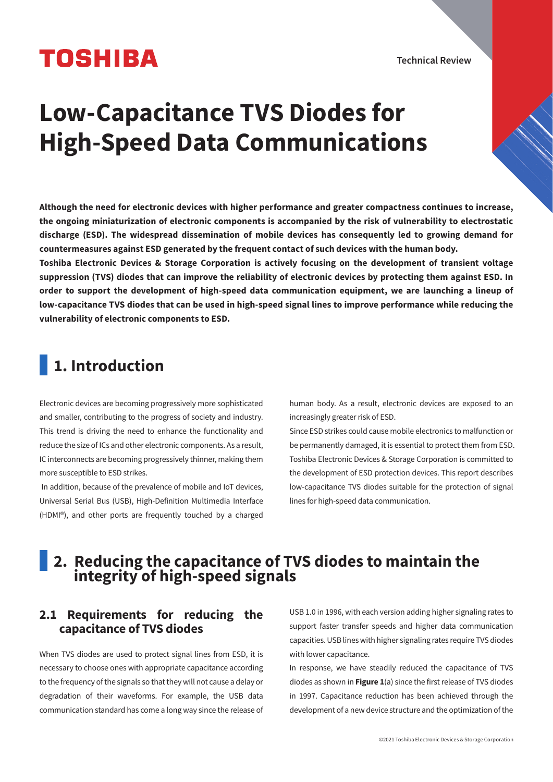## **TOSHIBA**

Technical Review

## **Low-Capacitance TVS Diodes for High-Speed Data Communications**

**Although the need for electronic devices with higher performance and greater compactness continues to increase, the ongoing miniaturization of electronic components is accompanied by the risk of vulnerability to electrostatic discharge (ESD). The widespread dissemination of mobile devices has consequently led to growing demand for countermeasures against ESD generated by the frequent contact of such devices with the human body.**

**Toshiba Electronic Devices & Storage Corporation is actively focusing on the development of transient voltage suppression (TVS) diodes that can improve the reliability of electronic devices by protecting them against ESD. In order to support the development of high-speed data communication equipment, we are launching a lineup of low-capacitance TVS diodes that can be used in high-speed signal lines to improve performance while reducing the vulnerability of electronic components to ESD.**

### **1. Introduction**

Electronic devices are becoming progressively more sophisticated and smaller, contributing to the progress of society and industry. This trend is driving the need to enhance the functionality and reduce the size of ICs and other electronic components. As a result, IC interconnects are becoming progressively thinner, making them more susceptible to ESD strikes.

 In addition, because of the prevalence of mobile and IoT devices, Universal Serial Bus (USB), High-Definition Multimedia Interface (HDMI®), and other ports are frequently touched by a charged

human body. As a result, electronic devices are exposed to an increasingly greater risk of ESD.

Since ESD strikes could cause mobile electronics to malfunction or be permanently damaged, it is essential to protect them from ESD. Toshiba Electronic Devices & Storage Corporation is committed to the development of ESD protection devices. This report describes low-capacitance TVS diodes suitable for the protection of signal lines for high-speed data communication.

# **2. Reducing the capacitance of TVS diodes to maintain the integrity of high-speed signals**

#### **2.1 Requirements for reducing the capacitance of TVS diodes**

When TVS diodes are used to protect signal lines from ESD, it is necessary to choose ones with appropriate capacitance according to the frequency of the signals so that they will not cause a delay or degradation of their waveforms. For example, the USB data communication standard has come a long way since the release of USB 1.0 in 1996, with each version adding higher signaling rates to support faster transfer speeds and higher data communication capacities. USB lines with higher signaling rates require TVS diodes with lower capacitance.

In response, we have steadily reduced the capacitance of TVS diodes as shown in **Figure 1**(a) since the first release of TVS diodes in 1997. Capacitance reduction has been achieved through the development of a new device structure and the optimization of the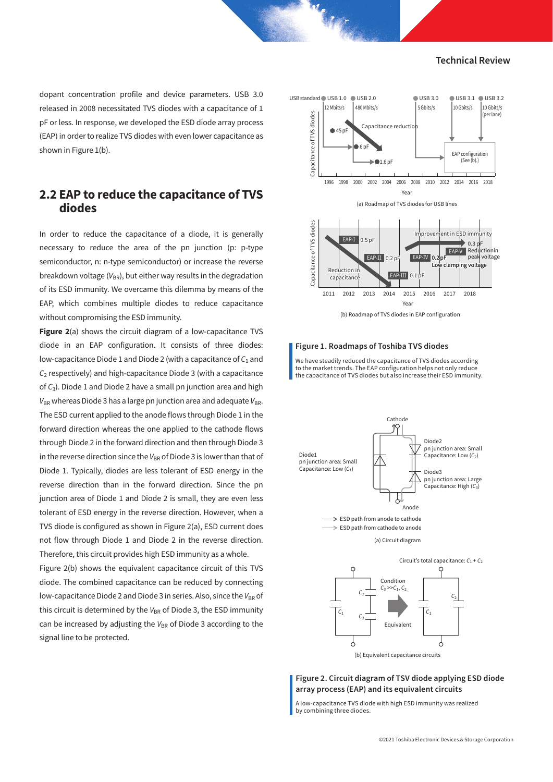#### Technical Review

dopant concentration profile and device parameters. USB 3.0 released in 2008 necessitated TVS diodes with a capacitance of 1 pF or less. In response, we developed the ESD diode array process (EAP) in order to realize TVS diodes with even lower capacitance as shown in Figure 1(b).

#### **2.2 EAP to reduce the capacitance of TVS diodes**

In order to reduce the capacitance of a diode, it is generally necessary to reduce the area of the pn junction (p: p-type semiconductor, n: n-type semiconductor) or increase the reverse breakdown voltage  $(V_{BR})$ , but either way results in the degradation of its ESD immunity. We overcame this dilemma by means of the EAP, which combines multiple diodes to reduce capacitance without compromising the ESD immunity.

**Figure 2**(a) shows the circuit diagram of a low-capacitance TVS diode in an EAP configuration. It consists of three diodes: low-capacitance Diode 1 and Diode 2 (with a capacitance of  $C_1$  and *C*<sub>2</sub> respectively) and high-capacitance Diode 3 (with a capacitance of *C*3). Diode 1 and Diode 2 have a small pn junction area and high  $V_{BR}$  whereas Diode 3 has a large pn junction area and adequate  $V_{BR}$ . The ESD current applied to the anode flows through Diode 1 in the forward direction whereas the one applied to the cathode flows through Diode 2 in the forward direction and then through Diode 3 in the reverse direction since the  $V_{BR}$  of Diode 3 is lower than that of Diode 1. Typically, diodes are less tolerant of ESD energy in the reverse direction than in the forward direction. Since the pn junction area of Diode 1 and Diode 2 is small, they are even less tolerant of ESD energy in the reverse direction. However, when a TVS diode is configured as shown in Figure 2(a), ESD current does not flow through Diode 1 and Diode 2 in the reverse direction. Therefore, this circuit provides high ESD immunity as a whole.

Figure 2(b) shows the equivalent capacitance circuit of this TVS diode. The combined capacitance can be reduced by connecting low-capacitance Diode 2 and Diode 3 in series. Also, since the  $V_{BB}$  of this circuit is determined by the *V*<sub>BR</sub> of Diode 3, the ESD immunity can be increased by adjusting the  $V_{BR}$  of Diode 3 according to the signal line to be protected.



#### Figure 1. Roadmaps of Toshiba TVS diodes

We have steadily reduced the capacitance of TVS diodes according to the market trends. The EAP configuration helps not only reduce the capacitance of TVS diodes but also increase their ESD immunity.



#### Figure 2. Circuit diagram of TSV diode applying ESD diode array process (EAP) and its equivalent circuits

A low-capacitance TVS diode with high ESD immunity was realized by combining three diodes.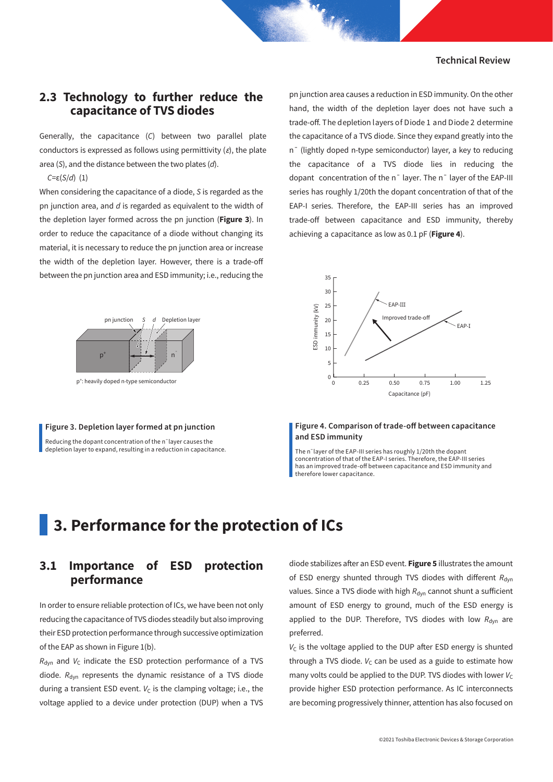#### Technical Review

#### **2.3 Technology to further reduce the capacitance of TVS diodes**

Generally, the capacitance (*C*) between two parallel plate conductors is expressed as follows using permittivity  $(\varepsilon)$ , the plate area (*S*), and the distance between the two plates (*d*).

*C*=ε(*S*/*d*) (1)

When considering the capacitance of a diode, *S* is regarded as the pn junction area, and *d* is regarded as equivalent to the width of the depletion layer formed across the pn junction (**Figure 3**). In order to reduce the capacitance of a diode without changing its material, it is necessary to reduce the pn junction area or increase the width of the depletion layer. However, there is a trade-off between the pn junction area and ESD immunity; i.e., reducing the

*S d*

pn junction  $S \, d$  Depletion layer

 $p^*$   $\leftarrow$  n n

pn junction area causes a reduction in ESD immunity. On the other hand, the width of the depletion layer does not have such a trade-off. The depletion layers of Diode 1 and Diode 2 determine the capacitance of a TVS diode. Since they expand greatly into the n¯ (lightly doped n-type semiconductor) layer, a key to reducing the capacitance of a TVS diode lies in reducing the dopant concentration of the n<sup>-</sup> layer. The n<sup>-</sup> layer of the EAP-III series has roughly 1/20th the dopant concentration of that of the EAP-I series. Therefore, the EAP-III series has an improved trade-off between capacitance and ESD immunity, thereby achieving a capacitance as low as 0.1 pF (**Figure 4**).



#### Figure 4. Comparison of trade-off between capacitance and ESD immunity

The n¯layer of the EAP-III series has roughly 1/20th the dopant concentration of that of the EAP-I series. Therefore, the EAP-III series has an improved trade-off between capacitance and ESD immunity and therefore lower capacitance.

### **3. Performance for the protection of ICs**

#### **3.1 Importance of ESD protection performance**

Figure 3. Depletion layer formed at pn junction Reducing the dopant concentration of the n¯layer causes the depletion layer to expand, resulting in a reduction in capacitance.

p+ : heavily doped n-type semiconductor

In order to ensure reliable protection of ICs, we have been not only reducing the capacitance of TVS diodes steadily but also improving their ESD protection performance through successive optimization of the EAP as shown in Figure 1(b).

 $R<sub>dyn</sub>$  and  $V<sub>C</sub>$  indicate the ESD protection performance of a TVS diode. *R*dyn represents the dynamic resistance of a TVS diode during a transient ESD event.  $V_C$  is the clamping voltage; i.e., the voltage applied to a device under protection (DUP) when a TVS

diode stabilizes after an ESD event. **Figure 5** illustrates the amount of ESD energy shunted through TVS diodes with different *R*<sub>dyn</sub> values. Since a TVS diode with high  $R_{\text{dyn}}$  cannot shunt a sufficient amount of ESD energy to ground, much of the ESD energy is applied to the DUP. Therefore, TVS diodes with low R<sub>dyn</sub> are preferred.

 $V<sub>C</sub>$  is the voltage applied to the DUP after ESD energy is shunted through a TVS diode.  $V_C$  can be used as a guide to estimate how many volts could be applied to the DUP. TVS diodes with lower  $V_C$ provide higher ESD protection performance. As IC interconnects are becoming progressively thinner, attention has also focused on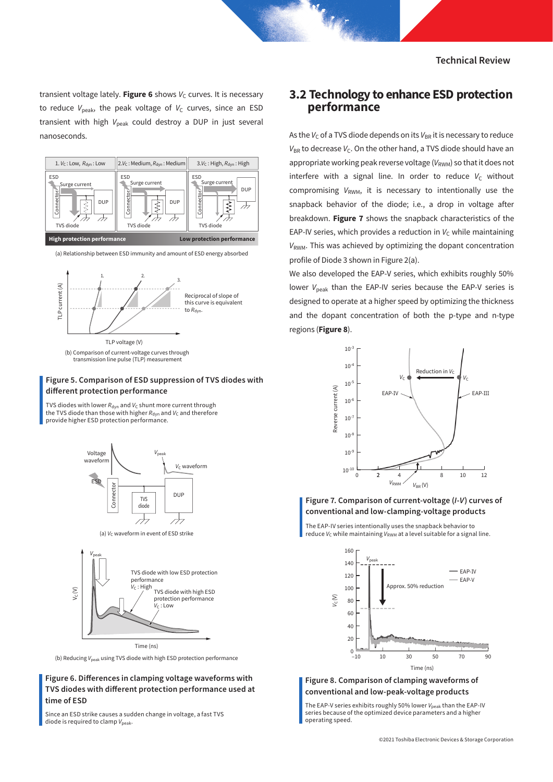transient voltage lately. Figure 6 shows  $V_C$  curves. It is necessary to reduce  $V_{\text{peak}}$ , the peak voltage of  $V_{\text{C}}$  curves, since an ESD transient with high *V*<sub>peak</sub> could destroy a DUP in just several nanoseconds.



(a) Relationship between ESD immunity and amount of ESD energy absorbed



transmission line pulse (TLP) measurement

#### Figure 5. Comparison of ESD suppression of TVS diodes with different protection performance

TVS diodes with lower  $R_{\text{dyn}}$  and  $V_C$  shunt more current through



(b) Reducing *V*peak using TVS diode with high ESD protection performance

Figure 6. Differences in clamping voltage waveforms with TVS diodes with different protection performance used at time of ESD

Since an ESD strike causes a sudden change in voltage, a fast TVS diode is required to clamp  $V_{\text{peak}}$ .

#### **performance 3.2 Technology to enhance ESD protection**

As the  $V_C$  of a TVS diode depends on its  $V_{BR}$  it is necessary to reduce  $V_{BB}$  to decrease  $V_C$ . On the other hand, a TVS diode should have an appropriate working peak reverse voltage ( $V_{\text{RWM}}$ ) so that it does not interfere with a signal line. In order to reduce  $V_c$  without compromising *V<sub>RWM</sub>*, it is necessary to intentionally use the snapback behavior of the diode; i.e., a drop in voltage after breakdown. **Figure 7** shows the snapback characteristics of the EAP-IV series, which provides a reduction in  $V_c$  while maintaining  $V<sub>RWM</sub>$ . This was achieved by optimizing the dopant concentration profile of Diode 3 shown in Figure 2(a).

We also developed the EAP-V series, which exhibits roughly 50% lower *V*<sub>peak</sub> than the EAP-IV series because the EAP-V series is designed to operate at a higher speed by optimizing the thickness and the dopant concentration of both the p-type and n-type regions (**Figure 8**).



Figure 7. Comparison of current-voltage (*I*-*V*) curves of conventional and low-clamping-voltage products

The EAP-IV series intentionally uses the snapback behavior to reduce *V<sub>C</sub> while maintaining V<sub>RWM</sub> at a level suitable for a signal line.* 



#### Figure 8. Comparison of clamping waveforms of conventional and low-peak-voltage products

The EAP-V series exhibits roughly 50% lower V<sub>peak</sub> than the EAP-IV series because of the optimized device parameters and a higher operating speed.